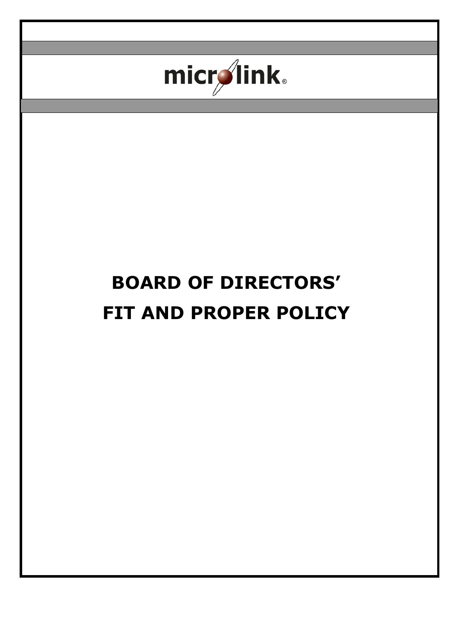

# **BOARD OF DIRECTORS' FIT AND PROPER POLICY**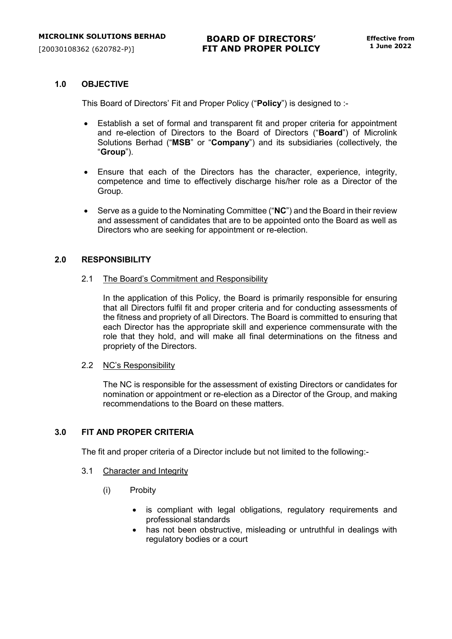## **1.0 OBJECTIVE**

This Board of Directors' Fit and Proper Policy ("**Policy**") is designed to :-

- Establish a set of formal and transparent fit and proper criteria for appointment and re-election of Directors to the Board of Directors ("**Board**") of Microlink Solutions Berhad ("**MSB**" or "**Company**") and its subsidiaries (collectively, the "**Group**").
- Ensure that each of the Directors has the character, experience, integrity, competence and time to effectively discharge his/her role as a Director of the Group.
- Serve as a guide to the Nominating Committee ("**NC**") and the Board in their review and assessment of candidates that are to be appointed onto the Board as well as Directors who are seeking for appointment or re-election.

## **2.0 RESPONSIBILITY**

2.1 The Board's Commitment and Responsibility

In the application of this Policy, the Board is primarily responsible for ensuring that all Directors fulfil fit and proper criteria and for conducting assessments of the fitness and propriety of all Directors. The Board is committed to ensuring that each Director has the appropriate skill and experience commensurate with the role that they hold, and will make all final determinations on the fitness and propriety of the Directors.

## 2.2 NC's Responsibility

The NC is responsible for the assessment of existing Directors or candidates for nomination or appointment or re-election as a Director of the Group, and making recommendations to the Board on these matters.

## **3.0 FIT AND PROPER CRITERIA**

The fit and proper criteria of a Director include but not limited to the following:-

- 3.1 Character and Integrity
	- (i) Probity
		- is compliant with legal obligations, regulatory requirements and professional standards
		- has not been obstructive, misleading or untruthful in dealings with regulatory bodies or a court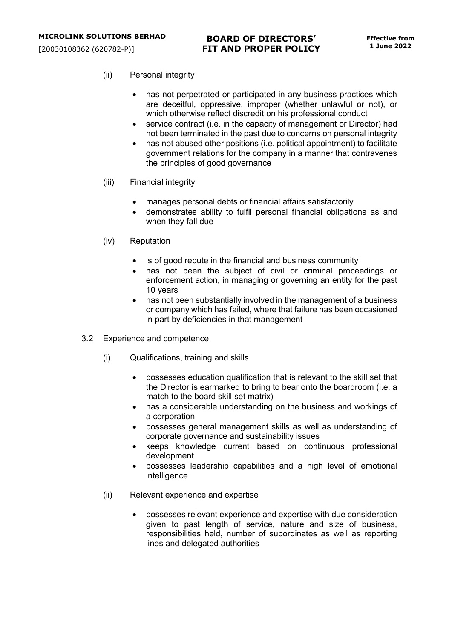- (ii) Personal integrity
	- has not perpetrated or participated in any business practices which are deceitful, oppressive, improper (whether unlawful or not), or which otherwise reflect discredit on his professional conduct
	- service contract (i.e. in the capacity of management or Director) had not been terminated in the past due to concerns on personal integrity
	- has not abused other positions (i.e. political appointment) to facilitate government relations for the company in a manner that contravenes the principles of good governance
- (iii) Financial integrity
	- manages personal debts or financial affairs satisfactorily
	- demonstrates ability to fulfil personal financial obligations as and when they fall due
- (iv) Reputation
	- is of good repute in the financial and business community
	- has not been the subject of civil or criminal proceedings or enforcement action, in managing or governing an entity for the past 10 years
	- has not been substantially involved in the management of a business or company which has failed, where that failure has been occasioned in part by deficiencies in that management
- 3.2 Experience and competence
	- (i) Qualifications, training and skills
		- possesses education qualification that is relevant to the skill set that the Director is earmarked to bring to bear onto the boardroom (i.e. a match to the board skill set matrix)
		- has a considerable understanding on the business and workings of a corporation
		- possesses general management skills as well as understanding of corporate governance and sustainability issues
		- keeps knowledge current based on continuous professional development
		- possesses leadership capabilities and a high level of emotional intelligence
	- (ii) Relevant experience and expertise
		- possesses relevant experience and expertise with due consideration given to past length of service, nature and size of business, responsibilities held, number of subordinates as well as reporting lines and delegated authorities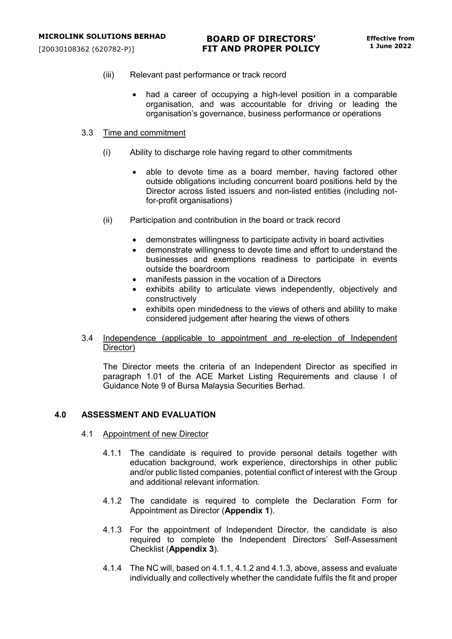- (iii) Relevant past performance or track record
	- had a career of occupying a high-level position in a comparable organisation, and was accountable for driving or leading the organisation's governance, business performance or operations

#### 3.3 Time and commitment

- (i) Ability to discharge role having regard to other commitments
	- able to devote time as a board member, having factored other outside obligations including concurrent board positions held by the Director across listed issuers and non-listed entities (including notfor-profit organisations)
- (ii) Participation and contribution in the board or track record
	- demonstrates willingness to participate activity in board activities
	- demonstrate willingness to devote time and effort to understand the businesses and exemptions readiness to participate in events outside the boardroom
	- manifests passion in the vocation of a Directors
	- exhibits ability to articulate views independently, objectively and constructively
	- exhibits open mindedness to the views of others and ability to make considered judgement after hearing the views of others

## 3.4 Independence (applicable to appointment and re-election of Independent Director)

The Director meets the criteria of an Independent Director as specified in paragraph 1.01 of the ACE Market Listing Requirements and clause I of Guidance Note 9 of Bursa Malaysia Securities Berhad.

## **4.0 ASSESSMENT AND EVALUATION**

- 4.1 Appointment of new Director
	- 4.1.1 The candidate is required to provide personal details together with education background, work experience, directorships in other public and/or public listed companies, potential conflict of interest with the Group and additional relevant information.
	- 4.1.2 The candidate is required to complete the Declaration Form for Appointment as Director (**Appendix 1**).
	- 4.1.3 For the appointment of Independent Director, the candidate is also required to complete the Independent Directors' Self-Assessment Checklist (**Appendix 3**).
	- 4.1.4 The NC will, based on 4.1.1, 4.1.2 and 4.1.3, above, assess and evaluate individually and collectively whether the candidate fulfils the fit and proper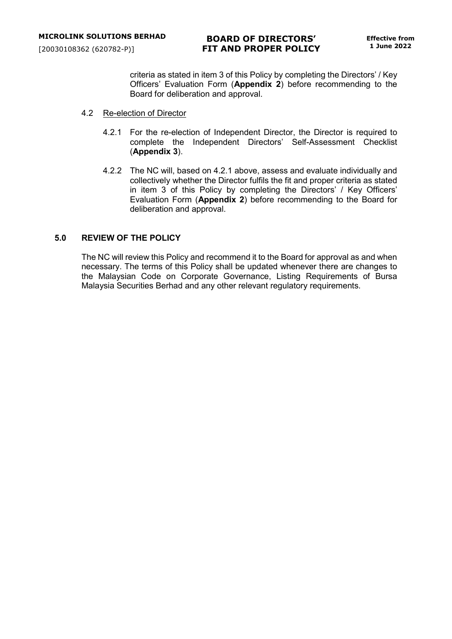criteria as stated in item 3 of this Policy by completing the Directors' / Key Officers' Evaluation Form (**Appendix 2**) before recommending to the Board for deliberation and approval.

- 4.2 Re-election of Director
	- 4.2.1 For the re-election of Independent Director, the Director is required to complete the Independent Directors' Self-Assessment Checklist (**Appendix 3**).
	- 4.2.2 The NC will, based on 4.2.1 above, assess and evaluate individually and collectively whether the Director fulfils the fit and proper criteria as stated in item 3 of this Policy by completing the Directors' / Key Officers' Evaluation Form (**Appendix 2**) before recommending to the Board for deliberation and approval.

## **5.0 REVIEW OF THE POLICY**

The NC will review this Policy and recommend it to the Board for approval as and when necessary. The terms of this Policy shall be updated whenever there are changes to the Malaysian Code on Corporate Governance, Listing Requirements of Bursa Malaysia Securities Berhad and any other relevant regulatory requirements.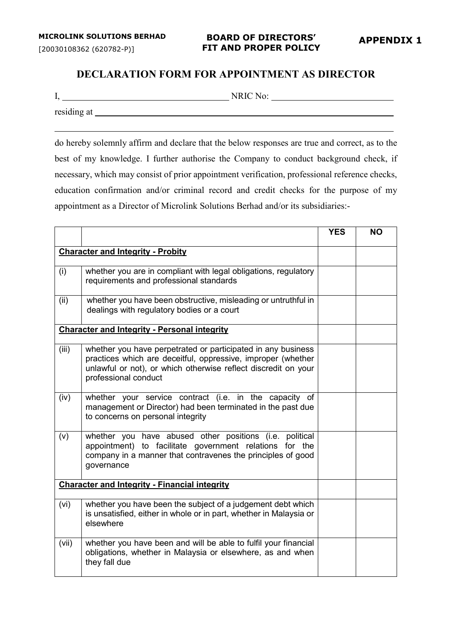# **DECLARATION FORM FOR APPOINTMENT AS DIRECTOR**

I, NRIC No:

residing at

do hereby solemnly affirm and declare that the below responses are true and correct, as to the best of my knowledge. I further authorise the Company to conduct background check, if necessary, which may consist of prior appointment verification, professional reference checks, education confirmation and/or criminal record and credit checks for the purpose of my appointment as a Director of Microlink Solutions Berhad and/or its subsidiaries:-

|       |                                                                                                                                                                                                                        | <b>YES</b> | NΟ |
|-------|------------------------------------------------------------------------------------------------------------------------------------------------------------------------------------------------------------------------|------------|----|
|       | <b>Character and Integrity - Probity</b>                                                                                                                                                                               |            |    |
| (i)   | whether you are in compliant with legal obligations, regulatory<br>requirements and professional standards                                                                                                             |            |    |
| (ii)  | whether you have been obstructive, misleading or untruthful in<br>dealings with regulatory bodies or a court                                                                                                           |            |    |
|       | <b>Character and Integrity - Personal integrity</b>                                                                                                                                                                    |            |    |
| (iii) | whether you have perpetrated or participated in any business<br>practices which are deceitful, oppressive, improper (whether<br>unlawful or not), or which otherwise reflect discredit on your<br>professional conduct |            |    |
| (iv)  | whether your service contract (i.e. in the capacity of<br>management or Director) had been terminated in the past due<br>to concerns on personal integrity                                                             |            |    |
| (v)   | whether you have abused other positions (i.e. political<br>appointment) to facilitate government relations for the<br>company in a manner that contravenes the principles of good<br>governance                        |            |    |
|       | <b>Character and Integrity - Financial integrity</b>                                                                                                                                                                   |            |    |
| (vi)  | whether you have been the subject of a judgement debt which<br>is unsatisfied, either in whole or in part, whether in Malaysia or<br>elsewhere                                                                         |            |    |
| (vii) | whether you have been and will be able to fulfil your financial<br>obligations, whether in Malaysia or elsewhere, as and when<br>they fall due                                                                         |            |    |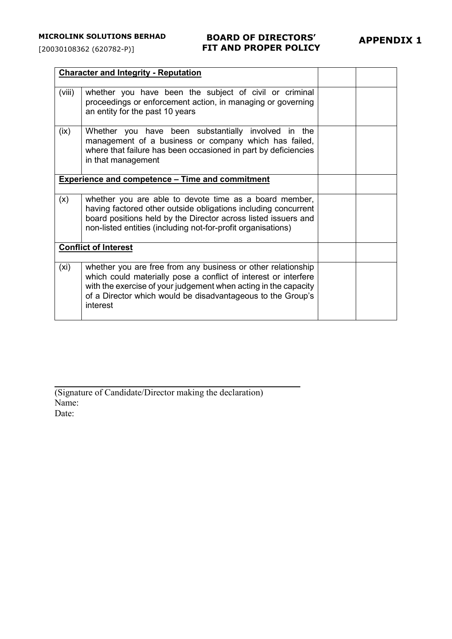# **BOARD OF DIRECTORS' FIT AND PROPER POLICY**

|                             | <b>Character and Integrity - Reputation</b>                                                                                                                                                                                                                                   |  |  |
|-----------------------------|-------------------------------------------------------------------------------------------------------------------------------------------------------------------------------------------------------------------------------------------------------------------------------|--|--|
| (viii)                      | whether you have been the subject of civil or criminal<br>proceedings or enforcement action, in managing or governing<br>an entity for the past 10 years                                                                                                                      |  |  |
| (ix)                        | Whether you have been substantially involved in the<br>management of a business or company which has failed,<br>where that failure has been occasioned in part by deficiencies<br>in that management                                                                          |  |  |
|                             | <b>Experience and competence - Time and commitment</b>                                                                                                                                                                                                                        |  |  |
| (x)                         | whether you are able to devote time as a board member,<br>having factored other outside obligations including concurrent<br>board positions held by the Director across listed issuers and<br>non-listed entities (including not-for-profit organisations)                    |  |  |
| <b>Conflict of Interest</b> |                                                                                                                                                                                                                                                                               |  |  |
| (xi)                        | whether you are free from any business or other relationship<br>which could materially pose a conflict of interest or interfere<br>with the exercise of your judgement when acting in the capacity<br>of a Director which would be disadvantageous to the Group's<br>interest |  |  |

(Signature of Candidate/Director making the declaration) Name: Date: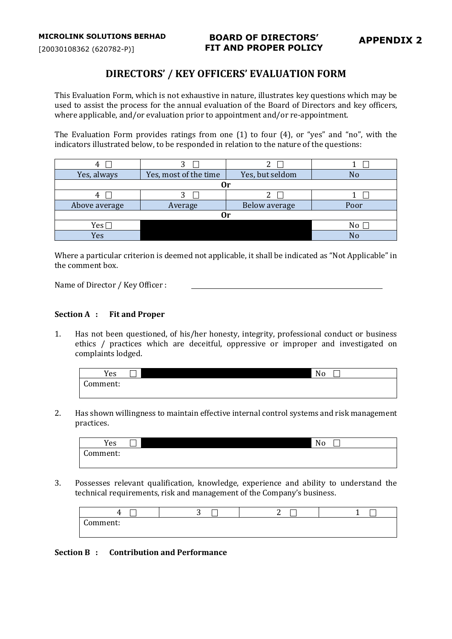# **DIRECTORS' / KEY OFFICERS' EVALUATION FORM**

This Evaluation Form, which is not exhaustive in nature, illustrates key questions which may be used to assist the process for the annual evaluation of the Board of Directors and key officers, where applicable, and/or evaluation prior to appointment and/or re-appointment.

The Evaluation Form provides ratings from one (1) to four (4), or "yes" and "no", with the indicators illustrated below, to be responded in relation to the nature of the questions:

| 4             | ∍                     |                 |      |  |
|---------------|-----------------------|-----------------|------|--|
| Yes, always   | Yes, most of the time | Yes, but seldom |      |  |
|               |                       | Эr              |      |  |
| 4             |                       |                 |      |  |
| Above average | Average               | Below average   | Poor |  |
| nr            |                       |                 |      |  |
| Yes $\Box$    |                       |                 | No   |  |
| Yes           |                       |                 | No   |  |

Where a particular criterion is deemed not applicable, it shall be indicated as "Not Applicable" in the comment box.

Name of Director / Key Officer :

## **Section A : Fit and Proper**

1. Has not been questioned, of his/her honesty, integrity, professional conduct or business ethics / practices which are deceitful, oppressive or improper and investigated on complaints lodged.

| Yes                    | No |
|------------------------|----|
| $\sqrt{2}$<br>Comment: |    |

2. Has shown willingness to maintain effective internal control systems and risk management practices.



3. Possesses relevant qualification, knowledge, experience and ability to understand the technical requirements, risk and management of the Company's business.

| $\sim$<br>,,,,                | $\tilde{\phantom{a}}$ | --<br>∽<br><b>__</b> |  |
|-------------------------------|-----------------------|----------------------|--|
| ∽<br>0.32232222<br>чшеш.<br>ີ |                       |                      |  |

**Section B : Contribution and Performance**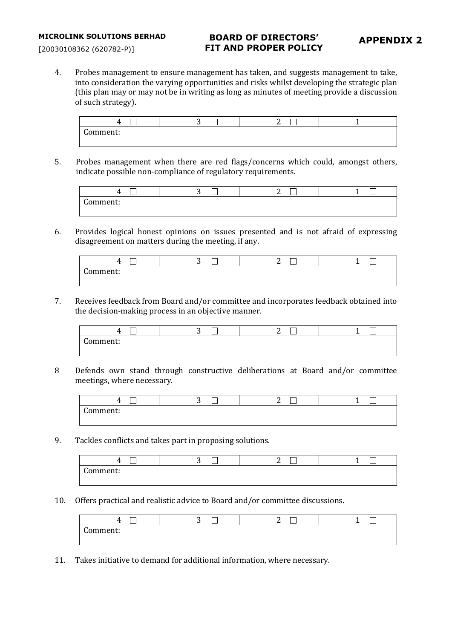[20030108362 (620782-P)]

# **BOARD OF DIRECTORS' FIT AND PROPER POLICY**

4. Probes management to ensure management has taken, and suggests management to take, into consideration the varying opportunities and risks whilst developing the strategic plan (this plan may or may not be in writing as long as minutes of meeting provide a discussion of such strategy).



5. Probes management when there are red flags/concerns which could, amongst others, indicate possible non-compliance of regulatory requirements.



6. Provides logical honest opinions on issues presented and is not afraid of expressing disagreement on matters during the meeting, if any.

| _<br>. .             | ∽<br>. . | -<br>⌒<br>- |  |
|----------------------|----------|-------------|--|
| ⌒<br>.omment:<br>. . |          |             |  |
|                      |          |             |  |

7. Receives feedback from Board and/or committee and incorporates feedback obtained into the decision-making process in an objective manner.

|                        | --<br>⌒<br>٠ | ⌒<br>-<br>- |  |
|------------------------|--------------|-------------|--|
| $\sqrt{2}$<br>`omment: |              |             |  |

8 Defends own stand through constructive deliberations at Board and/or committee meetings, where necessary.

| ____<br>,,,,                      | $\tilde{\phantom{a}}$ | ∽ |  |
|-----------------------------------|-----------------------|---|--|
| $\sim$<br>าหาหากหา<br>лппенс<br>ິ |                       |   |  |

9. Tackles conflicts and takes part in proposing solutions.

| -<br>. .      | _<br>∽<br>. . | $\overline{\phantom{a}}$<br>-<br>. . |  |
|---------------|---------------|--------------------------------------|--|
| ⌒<br>:omment: |               |                                      |  |

10. Offers practical and realistic advice to Board and/or committee discussions.

| ı                     | ⌒ |  |
|-----------------------|---|--|
| $\sim$<br>.<br>,,,,,, |   |  |

11. Takes initiative to demand for additional information, where necessary.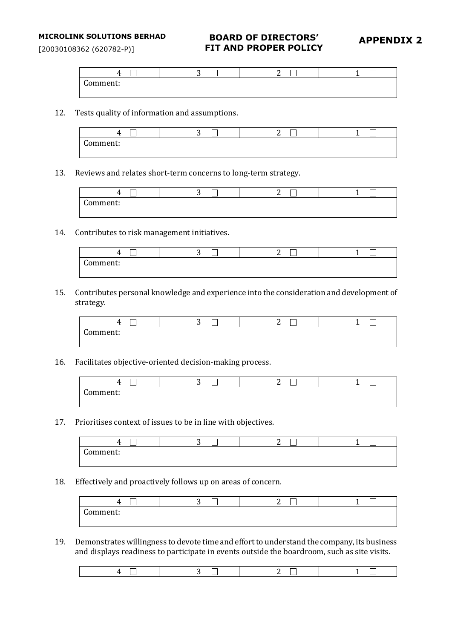[20030108362 (620782-P)]

# **BOARD OF DIRECTORS' FIT AND PROPER POLICY**

# **APPENDIX 2**

|                         | - | ∽<br>- |  |
|-------------------------|---|--------|--|
| $\sqrt{2}$<br>.comment: |   |        |  |
|                         |   |        |  |

12. Tests quality of information and assumptions.

| ,,,,                                 | ⌒<br>ັ | $\sim$<br>∽ |  |
|--------------------------------------|--------|-------------|--|
| ⌒<br>`ommonti<br>mment:<br><b>UU</b> |        |             |  |
|                                      |        |             |  |

13. Reviews and relates short-term concerns to long-term strategy.

| 44                    | ີ | ∽ |  |
|-----------------------|---|---|--|
| $\sqrt{2}$<br>omment: |   |   |  |
|                       |   |   |  |

14. Contributes to risk management initiatives.

| __<br>ᅭ                     | . . | ∽<br>- |  |
|-----------------------------|-----|--------|--|
| $\sqrt{ }$<br>.omment:<br>ັ |     |        |  |

15. Contributes personal knowledge and experience into the consideration and development of strategy.

|          | ⌒<br>. . | ╭<br>- |  |
|----------|----------|--------|--|
| Comment: |          |        |  |

16. Facilitates objective-oriented decision-making process.

|                        | --<br>- | ⌒<br>- |  |
|------------------------|---------|--------|--|
| $\sqrt{ }$<br>Comment: |         |        |  |
|                        |         |        |  |

17. Prioritises context of issues to be in line with objectives.

| ∸                  | ⌒<br>ັ | ⌒<br>- |  |
|--------------------|--------|--------|--|
| $\sim$<br>Comment: |        |        |  |
|                    |        |        |  |

18. Effectively and proactively follows up on areas of concern.

| ഺ                  | ∽ | _____<br>⌒ |  |
|--------------------|---|------------|--|
| ∽<br>`omment:<br>ີ |   |            |  |
|                    |   |            |  |

19. Demonstrates willingness to devote time and effort to understand the company, its business and displays readiness to participate in events outside the boardroom, such as site visits.

|--|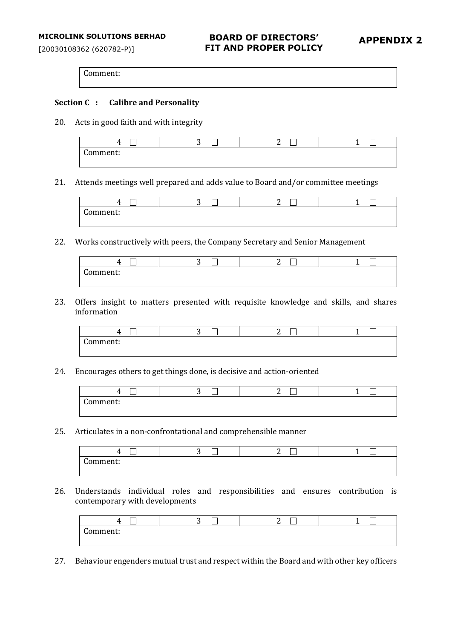[20030108362 (620782-P)]

# **BOARD OF DIRECTORS' FIT AND PROPER POLICY**

## **Section C : Calibre and Personality**

20. Acts in good faith and with integrity

| ,,                 | <b>Service State</b><br>. . | ⌒ |  |
|--------------------|-----------------------------|---|--|
| $\sim$<br>Comment: |                             |   |  |
|                    |                             |   |  |

21. Attends meetings well prepared and adds value to Board and/or committee meetings



22. Works constructively with peers, the Company Secretary and Senior Management

| 44<br>-            | __<br>- | ∽<br>- | ___ |
|--------------------|---------|--------|-----|
| ∽<br>`omment:<br>ີ |         |        |     |

23. Offers insight to matters presented with requisite knowledge and skills, and shares information

| . .           | ∽ | ∽<br>∸ |  |
|---------------|---|--------|--|
| c<br>.omment: |   |        |  |
|               |   |        |  |

24. Encourages others to get things done, is decisive and action-oriented

| ,,,,          | ⌒<br>. . | $\sim$<br>∽ |  |
|---------------|----------|-------------|--|
| ⌒<br>.omment: |          |             |  |
|               |          |             |  |

25. Articulates in a non-confrontational and comprehensible manner

|                        | $\sim$ |  |
|------------------------|--------|--|
| $\sqrt{2}$<br>Comment: |        |  |
|                        |        |  |

26. Understands individual roles and responsibilities and ensures contribution is contemporary with developments

|                        | -<br>∽ | ∽ |  |
|------------------------|--------|---|--|
| $\sqrt{2}$<br>Comment: |        |   |  |
|                        |        |   |  |

27. Behaviour engenders mutual trust and respect within the Board and with other key officers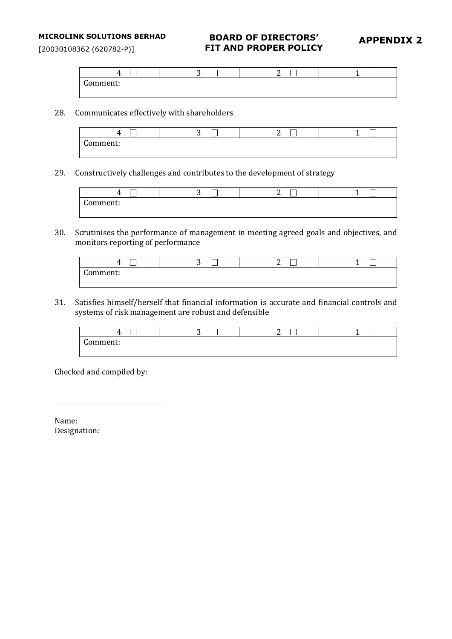[20030108362 (620782-P)]

# **BOARD OF DIRECTORS' FIT AND PROPER POLICY**

# **APPENDIX 2**

|                        | ∽<br>∼ | ◠<br>∸ |  |
|------------------------|--------|--------|--|
| $\sqrt{2}$<br>:omment: |        |        |  |
|                        |        |        |  |

28. Communicates effectively with shareholders

| $\overline{\phantom{a}}$<br>. . | ۰<br>∽ | $\sim$<br>⌒<br>$\overline{\phantom{a}}$<br>- |  |
|---------------------------------|--------|----------------------------------------------|--|
| $\sqrt{2}$<br>Comment:          |        |                                              |  |
|                                 |        |                                              |  |

29. Constructively challenges and contributes to the development of strategy

|          | -<br>- |  |
|----------|--------|--|
| .omment: |        |  |
|          |        |  |

30. Scrutinises the performance of management in meeting agreed goals and objectives, and monitors reporting of performance

| "                           | ◠<br>ີ | ⌒<br>-<br>_ |  |
|-----------------------------|--------|-------------|--|
| $\sqrt{2}$<br>comment:<br>∼ |        |             |  |
|                             |        |             |  |

31. Satisfies himself/herself that financial information is accurate and financial controls and systems of risk management are robust and defensible

| __                     | ---<br>ັ | $\overline{\phantom{a}}$<br>⌒ | __ |
|------------------------|----------|-------------------------------|----|
| $\sqrt{2}$<br>Comment: |          |                               |    |
|                        |          |                               |    |

Checked and compiled by:

Name: Designation: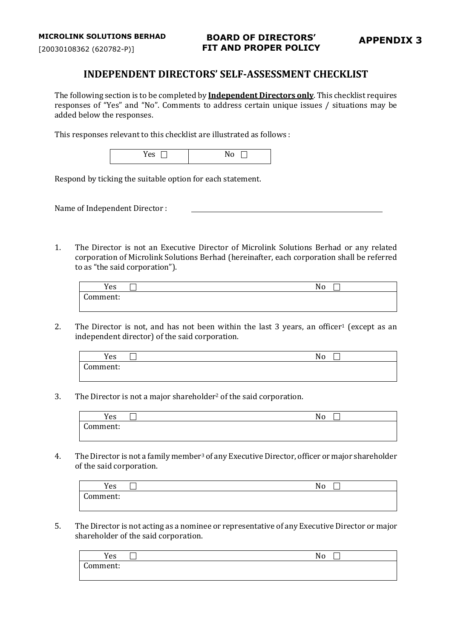# **INDEPENDENT DIRECTORS' SELF-ASSESSMENT CHECKLIST**

The following section is to be completed by **Independent Directors only**. This checklist requires responses of "Yes" and "No". Comments to address certain unique issues / situations may be added below the responses.

This responses relevant to this checklist are illustrated as follows :

| $\sim$ $\sim$ $\sim$ | ľV<br>11 V |
|----------------------|------------|
|                      |            |

Respond by ticking the suitable option for each statement.

Name of Independent Director :

1. The Director is not an Executive Director of Microlink Solutions Berhad or any related corporation of Microlink Solutions Berhad (hereinafter, each corporation shall be referred to as "the said corporation").

| Yes                         | $\sim$ | No |
|-----------------------------|--------|----|
| $\sqrt{2}$<br>:omment:<br>u |        |    |

2. The Director is not, and has not been within the last 3 years, an officer<sup>1</sup> (except as an independent director) of the said corporation.

| Yes                | No |  |
|--------------------|----|--|
| $\sim$<br>:omment: |    |  |
|                    |    |  |

3. The Director is not a major shareholder2 of the said corporation.

| <b>T T</b><br>Yes                                               | $\sim$ $\sim$<br>. . |
|-----------------------------------------------------------------|----------------------|
| $\sqrt{ }$<br>`omment.<br>,,,,,,,,,,,,<br>$\tilde{\phantom{a}}$ |                      |

4. The Director is not a family member<sup>3</sup> of any Executive Director, officer or major shareholder of the said corporation.

| Yes                | $\mathbf{v}$<br>N0 |
|--------------------|--------------------|
| $\sim$<br>Comment: |                    |

5. The Director is not acting as a nominee or representative of any Executive Director or major shareholder of the said corporation.

| Yes                    | __<br>No |
|------------------------|----------|
| $\sqrt{2}$<br>Comment: |          |
|                        |          |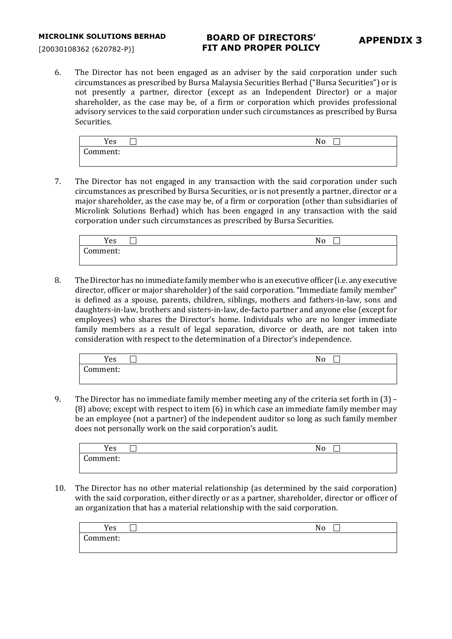# **BOARD OF DIRECTORS' FIT AND PROPER POLICY**

6. The Director has not been engaged as an adviser by the said corporation under such circumstances as prescribed by Bursa Malaysia Securities Berhad ("Bursa Securities") or is not presently a partner, director (except as an Independent Director) or a major shareholder, as the case may be, of a firm or corporation which provides professional advisory services to the said corporation under such circumstances as prescribed by Bursa Securities.

| Yes           | No |
|---------------|----|
| Comment:<br>u |    |

7. The Director has not engaged in any transaction with the said corporation under such circumstances as prescribed by Bursa Securities, or is not presently a partner, director or a major shareholder, as the case may be, of a firm or corporation (other than subsidiaries of Microlink Solutions Berhad) which has been engaged in any transaction with the said corporation under such circumstances as prescribed by Bursa Securities.

| Yes      | No |
|----------|----|
| Comment: |    |
|          |    |

8. The Director has no immediate family member who is an executive officer (i.e. any executive director, officer or major shareholder) of the said corporation. "Immediate family member" is defined as a spouse, parents, children, siblings, mothers and fathers-in-law, sons and daughters-in-law, brothers and sisters-in-law, de-facto partner and anyone else (except for employees) who shares the Director's home. Individuals who are no longer immediate family members as a result of legal separation, divorce or death, are not taken into consideration with respect to the determination of a Director's independence.

| -<br><b>T</b><br>Yes   | No |
|------------------------|----|
| $\sqrt{ }$<br>`omment: |    |
|                        |    |

9. The Director has no immediate family member meeting any of the criteria set forth in (3) – (8) above; except with respect to item (6) in which case an immediate family member may be an employee (not a partner) of the independent auditor so long as such family member does not personally work on the said corporation's audit.

| Yes                | N |
|--------------------|---|
| $\sim$<br>.omment: |   |
|                    |   |

10. The Director has no other material relationship (as determined by the said corporation) with the said corporation, either directly or as a partner, shareholder, director or officer of an organization that has a material relationship with the said corporation.

| Yes                     | $\overline{\phantom{a}}$<br>$\mathbf{v}$<br>N<br>Νo |  |
|-------------------------|-----------------------------------------------------|--|
| $\sim$<br>.omment:<br>u |                                                     |  |
|                         |                                                     |  |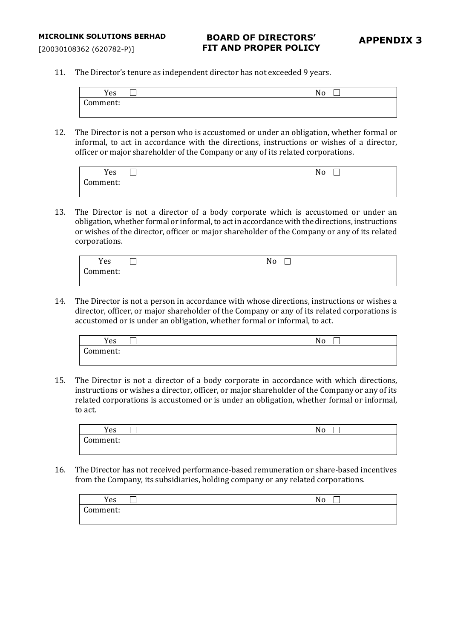[20030108362 (620782-P)]

11. The Director's tenure as independent director has not exceeded 9 years.

| Yes                | No |
|--------------------|----|
| $\sim$<br>Comment: |    |
|                    |    |

12. The Director is not a person who is accustomed or under an obligation, whether formal or informal, to act in accordance with the directions, instructions or wishes of a director, officer or major shareholder of the Company or any of its related corporations.

| Yes                      | No |
|--------------------------|----|
| $\sim$<br>`omment:<br>uu |    |
|                          |    |

13. The Director is not a director of a body corporate which is accustomed or under an obligation, whether formal or informal, to act in accordance with the directions, instructions or wishes of the director, officer or major shareholder of the Company or any of its related corporations.

| Yes      | $\blacksquare$<br>No |
|----------|----------------------|
| Comment: |                      |
|          |                      |

14. The Director is not a person in accordance with whose directions, instructions or wishes a director, officer, or major shareholder of the Company or any of its related corporations is accustomed or is under an obligation, whether formal or informal, to act.

| Yes                | No |
|--------------------|----|
| $\sim$<br>Comment: |    |

15. The Director is not a director of a body corporate in accordance with which directions, instructions or wishes a director, officer, or major shareholder of the Company or any of its related corporations is accustomed or is under an obligation, whether formal or informal, to act.

| Yes                    | __ | No |
|------------------------|----|----|
| $\sqrt{2}$<br>:omment: |    |    |
|                        |    |    |

16. The Director has not received performance-based remuneration or share-based incentives from the Company, its subsidiaries, holding company or any related corporations.

| Yes                | No |
|--------------------|----|
| $\sim$<br>Comment: |    |
|                    |    |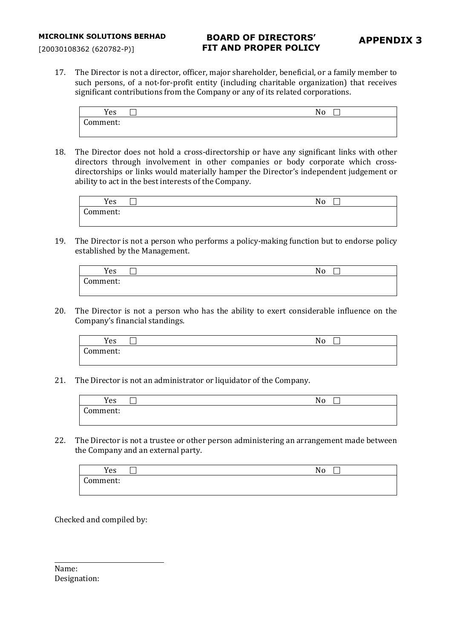## **BOARD OF DIRECTORS' FIT AND PROPER POLICY**

[20030108362 (620782-P)]

17. The Director is not a director, officer, major shareholder, beneficial, or a family member to such persons, of a not-for-profit entity (including charitable organization) that receives significant contributions from the Company or any of its related corporations.

| Yes                    | $\sim$<br>- | No |
|------------------------|-------------|----|
| $\sqrt{2}$<br>Comment: |             |    |

18. The Director does not hold a cross-directorship or have any significant links with other directors through involvement in other companies or body corporate which crossdirectorships or links would materially hamper the Director's independent judgement or ability to act in the best interests of the Company.

| Yes                    | $\mathbf{v}$<br>No |  |
|------------------------|--------------------|--|
| $\sqrt{2}$<br>:omment: |                    |  |

19. The Director is not a person who performs a policy-making function but to endorse policy established by the Management.

| Yes                          | No |
|------------------------------|----|
| $\sqrt{2}$<br>.omment:<br>uu |    |

20. The Director is not a person who has the ability to exert considerable influence on the Company's financial standings.

| Yes                            | No |  |
|--------------------------------|----|--|
| $\sqrt{2}$<br>.omment:<br>ا اب |    |  |

21. The Director is not an administrator or liquidator of the Company.

| Yes                    | No |  |
|------------------------|----|--|
| $\sqrt{2}$<br>.omment: |    |  |

22. The Director is not a trustee or other person administering an arrangement made between the Company and an external party.

| $\mathbf{v}$<br>Yes         | __ | No |  |
|-----------------------------|----|----|--|
| $\sqrt{2}$<br>:omment:<br>ັ |    |    |  |

Checked and compiled by:

Name: Designation: